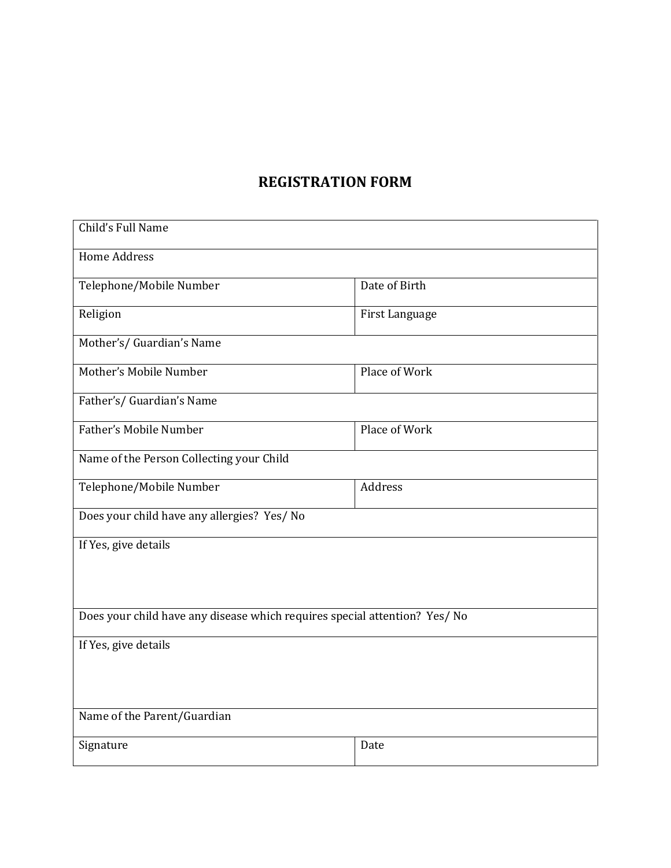## **REGISTRATION FORM**

| Child's Full Name                                                          |                |  |  |
|----------------------------------------------------------------------------|----------------|--|--|
| <b>Home Address</b>                                                        |                |  |  |
| Telephone/Mobile Number                                                    | Date of Birth  |  |  |
| Religion                                                                   | First Language |  |  |
| Mother's/ Guardian's Name                                                  |                |  |  |
| Mother's Mobile Number                                                     | Place of Work  |  |  |
| Father's/ Guardian's Name                                                  |                |  |  |
| <b>Father's Mobile Number</b>                                              | Place of Work  |  |  |
| Name of the Person Collecting your Child                                   |                |  |  |
| Telephone/Mobile Number                                                    | Address        |  |  |
| Does your child have any allergies? Yes/ No                                |                |  |  |
| If Yes, give details                                                       |                |  |  |
|                                                                            |                |  |  |
|                                                                            |                |  |  |
| Does your child have any disease which requires special attention? Yes/ No |                |  |  |
| If Yes, give details                                                       |                |  |  |
|                                                                            |                |  |  |
|                                                                            |                |  |  |
| Name of the Parent/Guardian                                                |                |  |  |
| Signature                                                                  | Date           |  |  |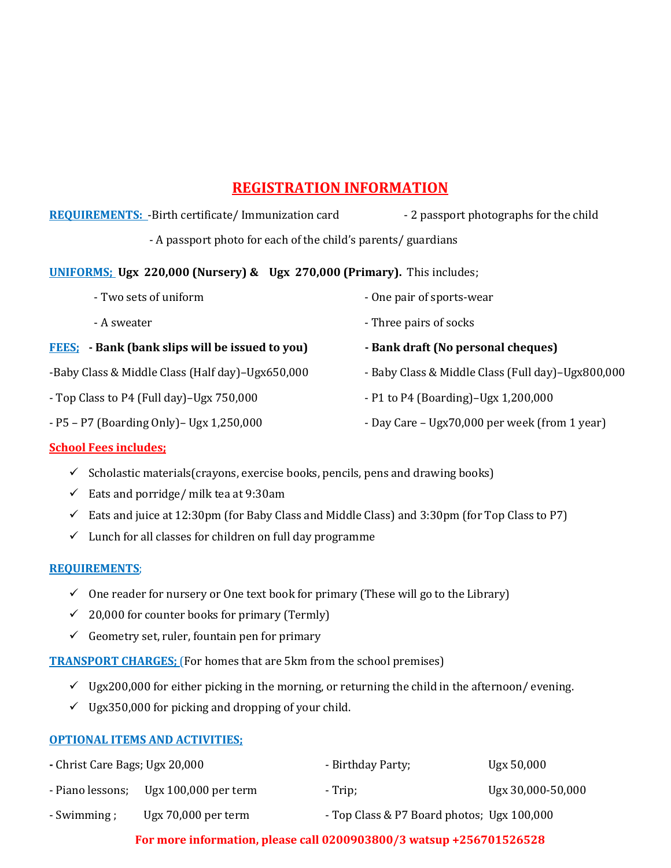# **REGISTRATION INFORMATION**

| <b>REQUIREMENTS:</b> - Birth certificate/ Immunization card                    | - 2 passport photographs for the child            |  |  |  |
|--------------------------------------------------------------------------------|---------------------------------------------------|--|--|--|
| - A passport photo for each of the child's parents/ guardians                  |                                                   |  |  |  |
| <b>UNIFORMS:</b> Ugx 220,000 (Nursery) & Ugx 270,000 (Primary). This includes; |                                                   |  |  |  |
| - Two sets of uniform                                                          | - One pair of sports-wear                         |  |  |  |
| - A sweater                                                                    | - Three pairs of socks                            |  |  |  |
| <b>FEES:</b> - Bank (bank slips will be issued to you)                         | - Bank draft (No personal cheques)                |  |  |  |
| -Baby Class & Middle Class (Half day)-Ugx650,000                               | - Baby Class & Middle Class (Full day)-Ugx800,000 |  |  |  |
| - Top Class to P4 (Full day)–Ugx 750,000                                       | - P1 to P4 (Boarding)-Ugx 1,200,000               |  |  |  |
| - P5 - P7 (Boarding Only) - Ugx 1,250,000                                      | - Day Care – Ugx70,000 per week (from 1 year)     |  |  |  |

### **School Fees includes;**

- $\checkmark$  Scholastic materials(crayons, exercise books, pencils, pens and drawing books)
- $\checkmark$  Eats and porridge/ milk tea at 9:30am
- $\checkmark$  Eats and juice at 12:30pm (for Baby Class and Middle Class) and 3:30pm (for Top Class to P7)
- $\checkmark$  Lunch for all classes for children on full day programme

#### **REQUIREMENTS**;

- $\checkmark$  One reader for nursery or One text book for primary (These will go to the Library)
- $\checkmark$  20,000 for counter books for primary (Termly)
- $\checkmark$  Geometry set, ruler, fountain pen for primary

**TRANSPORT CHARGES;** (For homes that are 5km from the school premises)

- $\checkmark$  Ugx200,000 for either picking in the morning, or returning the child in the afternoon/ evening.
- $\checkmark$  Ugx350,000 for picking and dropping of your child.

#### **OPTIONAL ITEMS AND ACTIVITIES;**

| - Christ Care Bags; Ugx 20,000 |                        | - Birthday Party;                          | Ugx 50,000        |
|--------------------------------|------------------------|--------------------------------------------|-------------------|
| - Piano lessons;               | Ugx $100,000$ per term | - Trip;                                    | Ugx 30,000-50,000 |
| - Swimming ;                   | $Ugx 70,000$ per term  | - Top Class & P7 Board photos; Ugx 100,000 |                   |

### **For more information, please call 0200903800/3 watsup +256701526528**